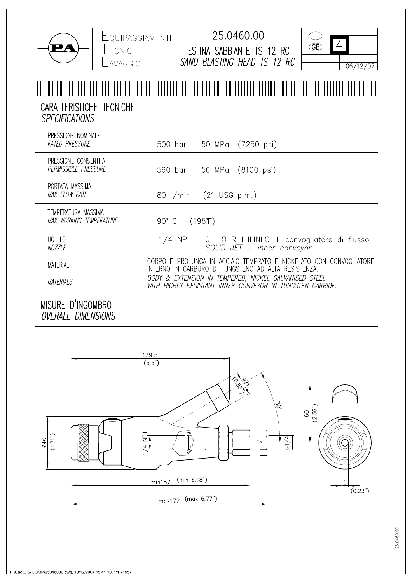| LQUIPAGGIAMENTI          | 25.0460.00<br>Œ                                                                                                    |
|--------------------------|--------------------------------------------------------------------------------------------------------------------|
| ECNICI                   | <b>GB</b><br>TESTINA SABBIANTE TS 12 RC                                                                            |
| _AVAGGIO                 | SAND BLASTING HEAD TS 12 RC<br>06/12/07                                                                            |
|                          |                                                                                                                    |
|                          | <u> 1989 - Andrea Stadt British, fransk politik (f. 1989)</u>                                                      |
|                          |                                                                                                                    |
| CARATTERISTICHE TECNICHE |                                                                                                                    |
| <b>SPECIFICATIONS</b>    |                                                                                                                    |
| - PRESSIONE NOMINALE     |                                                                                                                    |
| <b>RATED PRESSURE</b>    | 500 bar – 50 MPa (7250 psi)                                                                                        |
| - PRESSIONE CONSENTITA   |                                                                                                                    |
| PERMISSIBLE PRESSURE     | 560 bar - 56 MPa (8100 psi)                                                                                        |
| - PORTATA MASSIMA        |                                                                                                                    |
| MAX FLOW RATE            | 80 I/min (21 USG p.m.)                                                                                             |
| - TEMPERATURA MASSIMA    |                                                                                                                    |
| MAX WORKING TEMPERATURE  | 90°C (195°F)                                                                                                       |
| - UGELLO                 | $1/4$ NPT<br>GETTO RETTILINEO + convogliatore di flusso                                                            |
| <b>NOZZLE</b>            | SOLID JET + inner conveyor                                                                                         |
| - MATERIALI              | CORPO E PROLUNGA IN ACCIAIO TEMPRATO E NICKELATO CON CONVOGLIATORE                                                 |
|                          | INTERNO IN CARBURO DI TUNGSTENO AD ALTA RESISTENZA.                                                                |
| <b>MATERIALS</b>         | BODY & EXTENSION IN TEMPERED, NICKEL GALVANISED STEEL<br>WITH HIGHLY RESISTANT INNER CÓNVEYOR IN TUNGSTEN CARBIDE. |

MISURE D'INGOMBRO<br>OVERALL DIMENSIONS

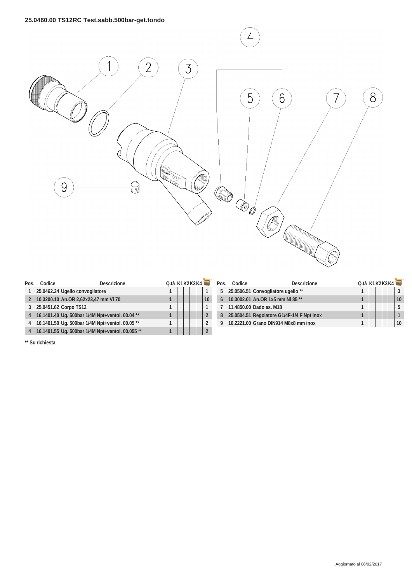

| Pos. | Codice                                 | Descrizione                                        | Q.tà $K1K2K3K4$ |  |    | Pos. | Codice | <b>Descrizione</b>                           | O.tà K1K2K3K4 |  |  |
|------|----------------------------------------|----------------------------------------------------|-----------------|--|----|------|--------|----------------------------------------------|---------------|--|--|
|      | 25.0462.24 Ugello convogliatore        |                                                    |                 |  |    |      |        | 5 25.0506.51 Convogliatore ugello **         |               |  |  |
|      | 2 10.3200.10 An.OR 2,62x23,47 mm Vi 70 |                                                    |                 |  | 10 |      |        | 6 10.3002.01 An.OR 1x5 mm Ni 85 **           |               |  |  |
|      | 3 25.0451.62 Corpo TS12                |                                                    |                 |  |    |      |        | 11.4850.00 Dado es. M18                      |               |  |  |
|      |                                        | 4 16.1401.40 Uq. 500bar 1/4M Npt+ventol. 00.04 **  |                 |  |    |      |        | 8 25.0504.51 Regolatore G1/4F-1/4 F Npt inox |               |  |  |
|      |                                        | 4 16.1401.50 Uq. 500bar 1/4M Npt+ventol. 00.05 **  |                 |  |    |      |        | 16.2221.00 Grano DIN914 M8x8 mm inox         |               |  |  |
|      |                                        | 4 16.1401.55 Ug. 500bar 1/4M Npt+ventol. 00.055 ** |                 |  |    |      |        |                                              |               |  |  |

| Pos. | Codice | <b>Descrizione</b>                         | O.tà K1K2K3K41 |  |   |
|------|--------|--------------------------------------------|----------------|--|---|
|      |        | 5 25.0506.51 Convogliatore ugello **       |                |  |   |
|      |        | 10.3002.01 An.OR 1x5 mm Ni 85 **           |                |  |   |
|      |        | 11.4850.00 Dado es. M18                    |                |  | 5 |
| 8    |        | 25.0504.51 Regolatore G1/4F-1/4 F Npt inox |                |  |   |
|      |        | 16.2221.00 Grano DIN914 M8x8 mm inox       |                |  |   |

**\*\* Su richiesta**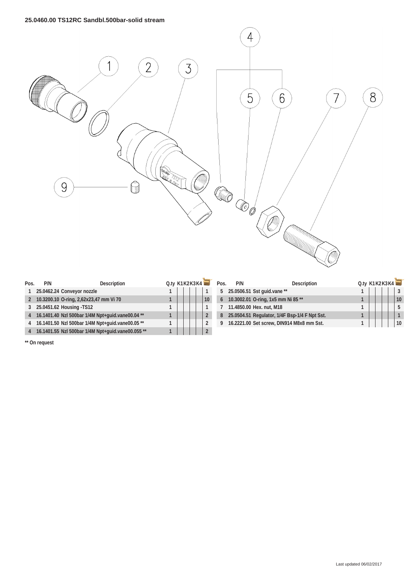

| Pos. | P/N                        | Description                                         | Q.ty $K1K2K3K4$ |  |    | Pos. | P/N | Description                                     | Q.ty K1K2K3K4 |  |  |
|------|----------------------------|-----------------------------------------------------|-----------------|--|----|------|-----|-------------------------------------------------|---------------|--|--|
|      | 25.0462.24 Conveyor nozzle |                                                     |                 |  |    |      |     | 5 25.0506.51 Sst quid.vane **                   |               |  |  |
|      |                            | 2 10.3200.10 O-ring, 2,62x23,47 mm Vi 70            |                 |  | 10 |      |     | 6 10.3002.01 O-ring, 1x5 mm Ni 85 **            |               |  |  |
|      | 3 25.0451.62 Housing -TS12 |                                                     |                 |  |    |      |     | 7 11.4850.00 Hex. nut, M18                      |               |  |  |
|      |                            | 4 16.1401.40 Nzl 500bar 1/4M Npt+quid.vane00.04 **  |                 |  |    |      |     | 8 25.0504.51 Regulator, 1/4F Bsp-1/4 F Npt Sst. |               |  |  |
|      |                            | 4 16.1401.50 Nzl 500bar 1/4M Npt+quid.vane00.05 **  |                 |  |    |      |     | 9 16.2221.00 Set screw, DIN914 M8x8 mm Sst.     |               |  |  |
|      |                            | 4 16.1401.55 Nzl 500bar 1/4M Npt+guid.vane00.055 ** |                 |  |    |      |     |                                                 |               |  |  |

| Pos. | P/N | Description                                   | Q.ty K1K2K3K4 |  |    |
|------|-----|-----------------------------------------------|---------------|--|----|
| 5    |     | 25.0506.51 Sst guid.vane **                   |               |  |    |
| 6    |     | 10.3002.01 O-ring, 1x5 mm Ni 85 **            |               |  | 10 |
|      |     | 11.4850.00 Hex. nut, M18                      |               |  | 5  |
|      |     | 25.0504.51 Regulator, 1/4F Bsp-1/4 F Npt Sst. |               |  |    |
|      |     | 16.2221.00 Set screw, DIN914 M8x8 mm Sst.     |               |  |    |

**\*\* On request**